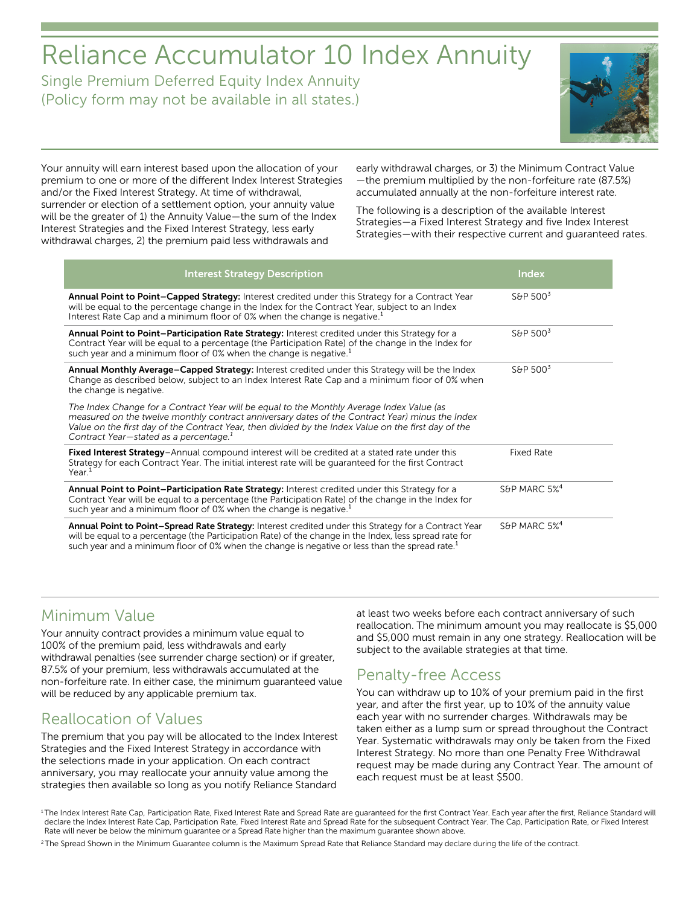# Reliance Accumulator 10 Index Annuity

Single Premium Deferred Equity Index Annuity (Policy form may not be available in all states.)



Your annuity will earn interest based upon the allocation of your premium to one or more of the different Index Interest Strategies and/or the Fixed Interest Strategy. At time of withdrawal, surrender or election of a settlement option, your annuity value will be the greater of 1) the Annuity Value—the sum of the Index Interest Strategies and the Fixed Interest Strategy, less early withdrawal charges, 2) the premium paid less withdrawals and

early withdrawal charges, or 3) the Minimum Contract Value —the premium multiplied by the non-forfeiture rate (87.5%) accumulated annually at the non-forfeiture interest rate.

The following is a description of the available Interest Strategies—a Fixed Interest Strategy and five Index Interest Strategies—with their respective current and guaranteed rates.

| <b>Interest Strategy Description</b>                                                                                                                                                                                                                                                                                                                       | <b>Index</b>             |
|------------------------------------------------------------------------------------------------------------------------------------------------------------------------------------------------------------------------------------------------------------------------------------------------------------------------------------------------------------|--------------------------|
| Annual Point to Point-Capped Strategy: Interest credited under this Strategy for a Contract Year<br>will be equal to the percentage change in the Index for the Contract Year, subject to an Index<br>Interest Rate Cap and a minimum floor of 0% when the change is negative. <sup>1</sup>                                                                | S&P $5003$               |
| Annual Point to Point-Participation Rate Strategy: Interest credited under this Strategy for a<br>Contract Year will be equal to a percentage (the Participation Rate) of the change in the Index for<br>such year and a minimum floor of 0% when the change is negative. <sup>1</sup>                                                                     | $S\&P 500^3$             |
| Annual Monthly Average-Capped Strategy: Interest credited under this Strategy will be the Index<br>Change as described below, subject to an Index Interest Rate Cap and a minimum floor of 0% when<br>the change is negative.                                                                                                                              | S&P $5003$               |
| The Index Change for a Contract Year will be equal to the Monthly Average Index Value (as<br>measured on the twelve monthly contract anniversary dates of the Contract Year) minus the Index<br>Value on the first day of the Contract Year, then divided by the Index Value on the first day of the<br>Contract Year-stated as a percentage. <sup>1</sup> |                          |
| Fixed Interest Strategy-Annual compound interest will be credited at a stated rate under this<br>Strategy for each Contract Year. The initial interest rate will be guaranteed for the first Contract<br>Year. <sup>1</sup>                                                                                                                                | <b>Fixed Rate</b>        |
| Annual Point to Point-Participation Rate Strategy: Interest credited under this Strategy for a<br>Contract Year will be equal to a percentage (the Participation Rate) of the change in the Index for<br>such year and a minimum floor of 0% when the change is negative. <sup>1</sup>                                                                     | S&P MARC 5% <sup>4</sup> |
| Annual Point to Point-Spread Rate Strategy: Interest credited under this Strategy for a Contract Year<br>will be equal to a percentage (the Participation Rate) of the change in the Index, less spread rate for<br>such year and a minimum floor of 0% when the change is negative or less than the spread rate. <sup>1</sup>                             | S&P MARC 5% <sup>4</sup> |

# Minimum Value

Your annuity contract provides a minimum value equal to 100% of the premium paid, less withdrawals and early withdrawal penalties (see surrender charge section) or if greater, 87.5% of your premium, less withdrawals accumulated at the non-forfeiture rate. In either case, the minimum guaranteed value will be reduced by any applicable premium tax.

# Reallocation of Values

The premium that you pay will be allocated to the Index Interest Strategies and the Fixed Interest Strategy in accordance with the selections made in your application. On each contract anniversary, you may reallocate your annuity value among the strategies then available so long as you notify Reliance Standard

at least two weeks before each contract anniversary of such reallocation. The minimum amount you may reallocate is \$5,000 and \$5,000 must remain in any one strategy. Reallocation will be subject to the available strategies at that time.

# Penalty-free Access

You can withdraw up to 10% of your premium paid in the first year, and after the first year, up to 10% of the annuity value each year with no surrender charges. Withdrawals may be taken either as a lump sum or spread throughout the Contract Year. Systematic withdrawals may only be taken from the Fixed Interest Strategy. No more than one Penalty Free Withdrawal request may be made during any Contract Year. The amount of each request must be at least \$500.

<sup>&</sup>lt;sup>1</sup>The Index Interest Rate Cap, Participation Rate, Fixed Interest Rate and Spread Rate are quaranteed for the first Contract Year. Each year after the first, Reliance Standard will declare the Index Interest Rate Cap, Participation Rate, Fixed Interest Rate and Spread Rate for the subsequent Contract Year. The Cap, Participation Rate, or Fixed Interest Rate will never be below the minimum guarantee or a Spread Rate higher than the maximum guarantee shown above.

<sup>&</sup>lt;sup>2</sup> The Spread Shown in the Minimum Guarantee column is the Maximum Spread Rate that Reliance Standard may declare during the life of the contract.